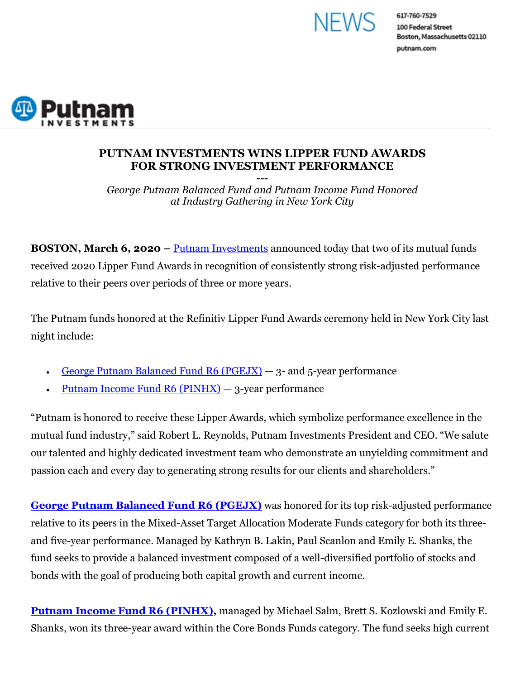

617-760-7529 100 Federal Street Boston, Massachusetts 02110 putnam.com



## **PUTNAM INVESTMENTS WINS LIPPER FUND AWARDS FOR STRONG INVESTMENT PERFORMANCE**

**---** *George Putnam Balanced Fund and Putnam Income Fund Honored at Industry Gathering in New York City* 

**BOSTON, March 6, 2020 –** Putnam Investments announced today that two of its mutual funds received 2020 Lipper Fund Awards in recognition of consistently strong risk-adjusted performance relative to their peers over periods of three or more years.

The Putnam funds honored at the Refinitiv Lipper Fund Awards ceremony held in New York City last night include:

- George Putnam Balanced Fund  $R6$  (PGEJX)  $-$  3- and 5-year performance
- Putnam Income Fund R6 (PINHX) 3-year performance

"Putnam is honored to receive these Lipper Awards, which symbolize performance excellence in the mutual fund industry," said Robert L. Reynolds, Putnam Investments President and CEO. "We salute our talented and highly dedicated investment team who demonstrate an unyielding commitment and passion each and every day to generating strong results for our clients and shareholders."

**George Putnam Balanced Fund R6 (PGEJX)** was honored for its top risk-adjusted performance relative to its peers in the Mixed-Asset Target Allocation Moderate Funds category for both its threeand five-year performance. Managed by Kathryn B. Lakin, Paul Scanlon and Emily E. Shanks, the fund seeks to provide a balanced investment composed of a well-diversified portfolio of stocks and bonds with the goal of producing both capital growth and current income.

**Putnam Income Fund R6 (PINHX)**, managed by Michael Salm, Brett S. Kozlowski and Emily E. Shanks, won its three-year award within the Core Bonds Funds category. The fund seeks high current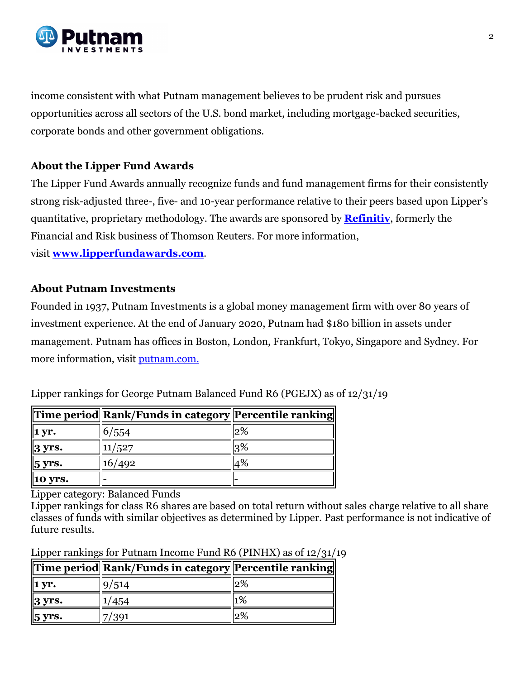

income consistent with what Putnam management believes to be prudent risk and pursues opportunities across all sectors of the U.S. bond market, including mortgage-backed securities, corporate bonds and other government obligations.

## **About the Lipper Fund Awards**

The Lipper Fund Awards annually recognize funds and fund management firms for their consistently strong risk-adjusted three-, five- and 10-year performance relative to their peers based upon Lipper's quantitative, proprietary methodology. The awards are sponsored by **Refinitiv**, formerly the Financial and Risk business of Thomson Reuters. For more information,

visit **www.lipperfundawards.com**.

## **About Putnam Investments**

Founded in 1937, Putnam Investments is a global money management firm with over 80 years of investment experience. At the end of January 2020, Putnam had \$180 billion in assets under management. Putnam has offices in Boston, London, Frankfurt, Tokyo, Singapore and Sydney. For more information, visit putnam.com.

| 1 yr.               | /554 | 2% |
|---------------------|------|----|
| $3 \,\mathrm{yrs}.$ | /527 |    |
| 5 yrs.              | 492  | 4% |
| 10 yrs.             |      |    |

Lipper rankings for George Putnam Balanced Fund R6 (PGEJX) as of 12/31/19

Lipper category: Balanced Funds

Lipper rankings for class R6 shares are based on total return without sales charge relative to all share classes of funds with similar objectives as determined by Lipper. Past performance is not indicative of future results.

Lipper rankings for Putnam Income Fund R6 (PINHX) as of 12/31/19

|                      | Time period  Rank/Funds in category  Percentile ranking |        |
|----------------------|---------------------------------------------------------|--------|
| 1 vr.                |                                                         | $12\%$ |
| $3 \text{ yrs.}$     |                                                         | 1%     |
| $5 \,\mathrm{yrs}$ . |                                                         | 2%     |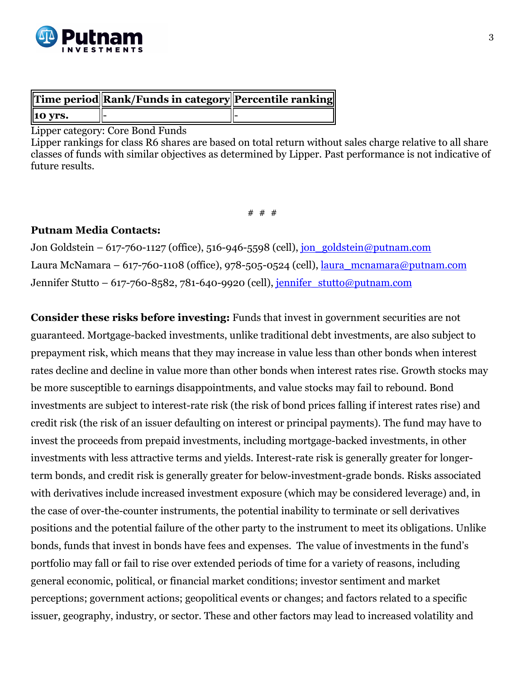

|                 | Time period Rank/Funds in category Percentile ranking |  |
|-----------------|-------------------------------------------------------|--|
| $\vert$ 10 yrs. |                                                       |  |

Lipper category: Core Bond Funds

Lipper rankings for class R6 shares are based on total return without sales charge relative to all share classes of funds with similar objectives as determined by Lipper. Past performance is not indicative of future results.

# # #

## **Putnam Media Contacts:**

Jon Goldstein – 617-760-1127 (office), 516-946-5598 (cell),  $\frac{1}{\pi}$  goldstein@putnam.com Laura McNamara – 617-760-1108 (office), 978-505-0524 (cell), laura\_mcnamara@putnam.com Jennifer Stutto – 617-760-8582, 781-640-9920 (cell), jennifer stutto@putnam.com

**Consider these risks before investing:** Funds that invest in government securities are not guaranteed. Mortgage-backed investments, unlike traditional debt investments, are also subject to prepayment risk, which means that they may increase in value less than other bonds when interest rates decline and decline in value more than other bonds when interest rates rise. Growth stocks may be more susceptible to earnings disappointments, and value stocks may fail to rebound. Bond investments are subject to interest-rate risk (the risk of bond prices falling if interest rates rise) and credit risk (the risk of an issuer defaulting on interest or principal payments). The fund may have to invest the proceeds from prepaid investments, including mortgage-backed investments, in other investments with less attractive terms and yields. Interest-rate risk is generally greater for longerterm bonds, and credit risk is generally greater for below-investment-grade bonds. Risks associated with derivatives include increased investment exposure (which may be considered leverage) and, in the case of over-the-counter instruments, the potential inability to terminate or sell derivatives positions and the potential failure of the other party to the instrument to meet its obligations. Unlike bonds, funds that invest in bonds have fees and expenses. The value of investments in the fund's portfolio may fall or fail to rise over extended periods of time for a variety of reasons, including general economic, political, or financial market conditions; investor sentiment and market perceptions; government actions; geopolitical events or changes; and factors related to a specific issuer, geography, industry, or sector. These and other factors may lead to increased volatility and